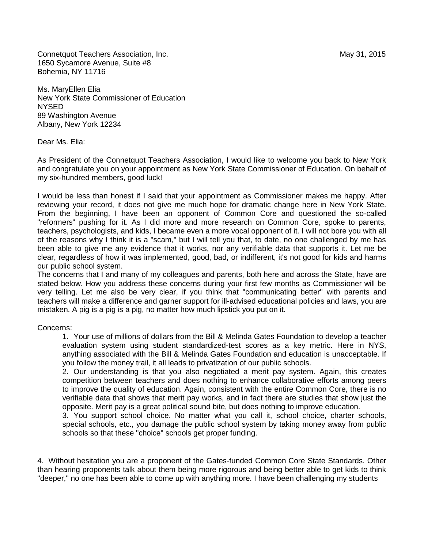Connetquot Teachers Association, Inc. May 31, 2015 1650 Sycamore Avenue, Suite #8 Bohemia, NY 11716

Ms. MaryEllen Elia New York State Commissioner of Education NYSED 89 Washington Avenue Albany, New York 12234

Dear Ms. Elia:

As President of the Connetquot Teachers Association, I would like to welcome you back to New York and congratulate you on your appointment as New York State Commissioner of Education. On behalf of my six-hundred members, good luck!

I would be less than honest if I said that your appointment as Commissioner makes me happy. After reviewing your record, it does not give me much hope for dramatic change here in New York State. From the beginning, I have been an opponent of Common Core and questioned the so-called "reformers" pushing for it. As I did more and more research on Common Core, spoke to parents, teachers, psychologists, and kids, I became even a more vocal opponent of it. I will not bore you with all of the reasons why I think it is a "scam," but I will tell you that, to date, no one challenged by me has been able to give me any evidence that it works, nor any verifiable data that supports it. Let me be clear, regardless of how it was implemented, good, bad, or indifferent, it's not good for kids and harms our public school system.

The concerns that I and many of my colleagues and parents, both here and across the State, have are stated below. How you address these concerns during your first few months as Commissioner will be very telling. Let me also be very clear, if you think that "communicating better" with parents and teachers will make a difference and garner support for ill-advised educational policies and laws, you are mistaken. A pig is a pig is a pig, no matter how much lipstick you put on it.

Concerns:

1. Your use of millions of dollars from the Bill & Melinda Gates Foundation to develop a teacher evaluation system using student standardized-test scores as a key metric. Here in NYS, anything associated with the Bill & Melinda Gates Foundation and education is unacceptable. If you follow the money trail, it all leads to privatization of our public schools.

2. Our understanding is that you also negotiated a merit pay system. Again, this creates competition between teachers and does nothing to enhance collaborative efforts among peers to improve the quality of education. Again, consistent with the entire Common Core, there is no verifiable data that shows that merit pay works, and in fact there are studies that show just the opposite. Merit pay is a great political sound bite, but does nothing to improve education.

3. You support school choice. No matter what you call it, school choice, charter schools, special schools, etc., you damage the public school system by taking money away from public schools so that these "choice" schools get proper funding.

4. Without hesitation you are a proponent of the Gates-funded Common Core State Standards. Other than hearing proponents talk about them being more rigorous and being better able to get kids to think "deeper," no one has been able to come up with anything more. I have been challenging my students